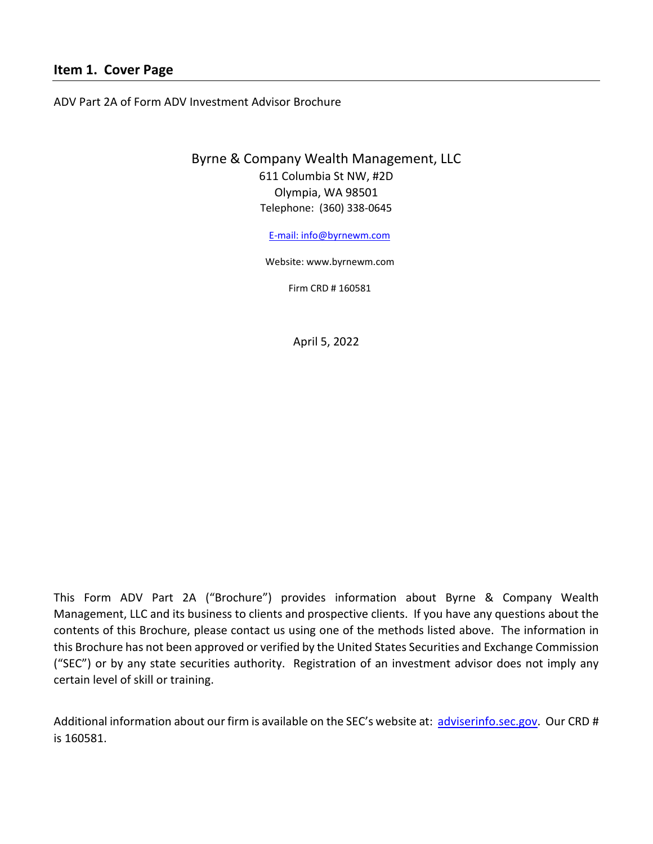### <span id="page-0-0"></span>**Item 1. Cover Page**

ADV Part 2A of Form ADV Investment Advisor Brochure

# Byrne & Company Wealth Management, LLC 611 Columbia St NW, #2D Olympia, WA 98501 Telephone: (360) 338-0645

[E-mail: info@byrnewm.com](mailto:E-mail:%20info@byrnewm.com)

Website: [www.byrnewm.com](http://www.byrnewm.com/)

Firm CRD # 160581

April 5, 2022

This Form ADV Part 2A ("Brochure") provides information about Byrne & Company Wealth Management, LLC and its business to clients and prospective clients. If you have any questions about the contents of this Brochure, please contact us using one of the methods listed above. The information in this Brochure has not been approved or verified by the United States Securities and Exchange Commission ("SEC") or by any state securities authority. Registration of an investment advisor does not imply any certain level of skill or training.

Additional information about our firm is available on the SEC's website at: [adviserinfo.sec.gov.](http://www.adviserinfo.sec.gov/) Our CRD # is 160581.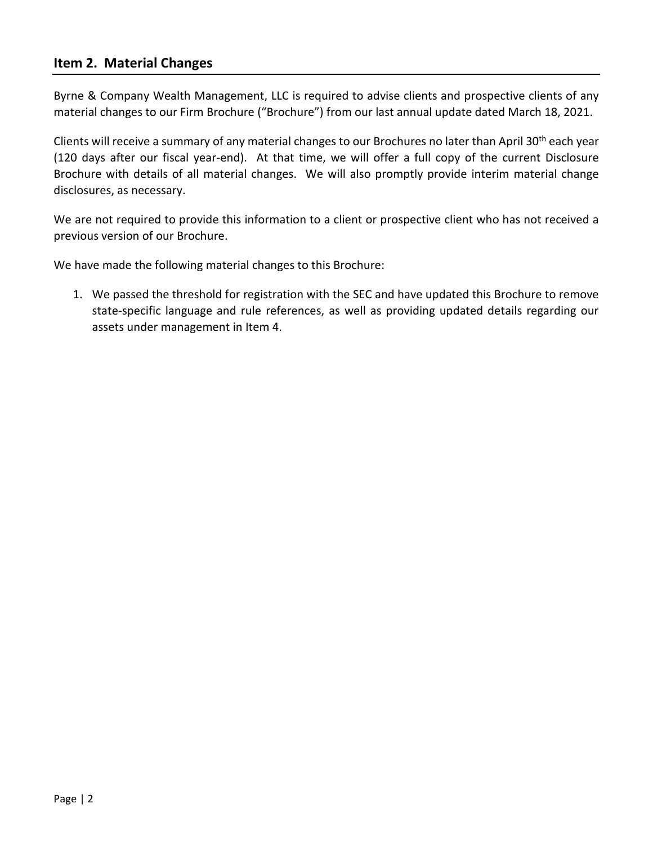### <span id="page-1-0"></span>**Item 2. Material Changes**

Byrne & Company Wealth Management, LLC is required to advise clients and prospective clients of any material changes to our Firm Brochure ("Brochure") from our last annual update dated March 18, 2021.

Clients will receive a summary of any material changes to our Brochures no later than April 30<sup>th</sup> each year (120 days after our fiscal year-end). At that time, we will offer a full copy of the current Disclosure Brochure with details of all material changes. We will also promptly provide interim material change disclosures, as necessary.

We are not required to provide this information to a client or prospective client who has not received a previous version of our Brochure.

We have made the following material changes to this Brochure:

1. We passed the threshold for registration with the SEC and have updated this Brochure to remove state-specific language and rule references, as well as providing updated details regarding our assets under management in Item 4.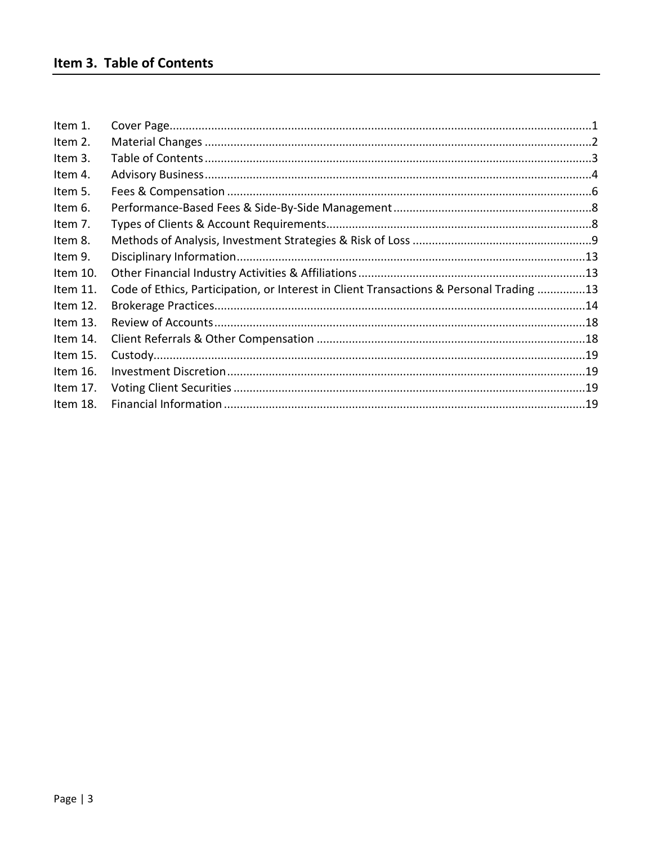<span id="page-2-0"></span>

| Item 1.    |                                                                                         |  |
|------------|-----------------------------------------------------------------------------------------|--|
| Item 2.    |                                                                                         |  |
| Item 3.    |                                                                                         |  |
| Item 4.    |                                                                                         |  |
| Item 5.    |                                                                                         |  |
| Item 6.    |                                                                                         |  |
| Item 7.    |                                                                                         |  |
| Item 8.    |                                                                                         |  |
| Item 9.    |                                                                                         |  |
| Item 10.   |                                                                                         |  |
| Item 11.   | Code of Ethics, Participation, or Interest in Client Transactions & Personal Trading 13 |  |
| Item 12.   |                                                                                         |  |
| Item $13.$ |                                                                                         |  |
| Item 14.   |                                                                                         |  |
| Item 15.   |                                                                                         |  |
| Item 16.   |                                                                                         |  |
| Item 17.   |                                                                                         |  |
| Item 18.   |                                                                                         |  |
|            |                                                                                         |  |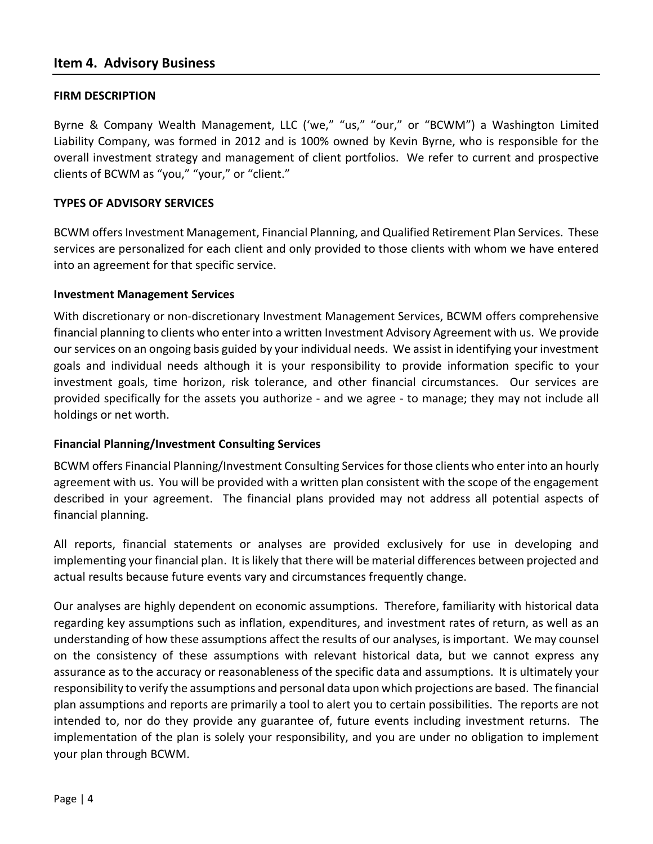#### <span id="page-3-0"></span>**FIRM DESCRIPTION**

Byrne & Company Wealth Management, LLC ('we," "us," "our," or "BCWM") a Washington Limited Liability Company, was formed in 2012 and is 100% owned by Kevin Byrne, who is responsible for the overall investment strategy and management of client portfolios. We refer to current and prospective clients of BCWM as "you," "your," or "client."

#### **TYPES OF ADVISORY SERVICES**

BCWM offers Investment Management, Financial Planning, and Qualified Retirement Plan Services. These services are personalized for each client and only provided to those clients with whom we have entered into an agreement for that specific service.

#### **Investment Management Services**

With discretionary or non-discretionary Investment Management Services, BCWM offers comprehensive financial planning to clients who enter into a written Investment Advisory Agreement with us. We provide our services on an ongoing basis guided by your individual needs. We assist in identifying your investment goals and individual needs although it is your responsibility to provide information specific to your investment goals, time horizon, risk tolerance, and other financial circumstances. Our services are provided specifically for the assets you authorize - and we agree - to manage; they may not include all holdings or net worth.

### **Financial Planning/Investment Consulting Services**

BCWM offers Financial Planning/Investment Consulting Services for those clients who enter into an hourly agreement with us. You will be provided with a written plan consistent with the scope of the engagement described in your agreement. The financial plans provided may not address all potential aspects of financial planning.

All reports, financial statements or analyses are provided exclusively for use in developing and implementing your financial plan. It is likely that there will be material differences between projected and actual results because future events vary and circumstances frequently change.

Our analyses are highly dependent on economic assumptions. Therefore, familiarity with historical data regarding key assumptions such as inflation, expenditures, and investment rates of return, as well as an understanding of how these assumptions affect the results of our analyses, is important. We may counsel on the consistency of these assumptions with relevant historical data, but we cannot express any assurance as to the accuracy or reasonableness of the specific data and assumptions. It is ultimately your responsibility to verify the assumptions and personal data upon which projections are based. The financial plan assumptions and reports are primarily a tool to alert you to certain possibilities. The reports are not intended to, nor do they provide any guarantee of, future events including investment returns. The implementation of the plan is solely your responsibility, and you are under no obligation to implement your plan through BCWM.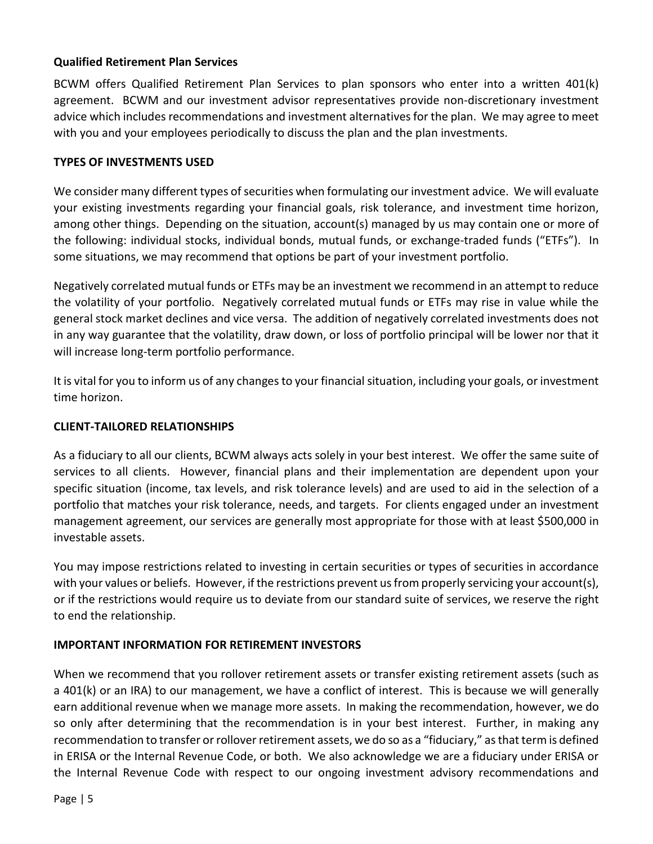### **Qualified Retirement Plan Services**

BCWM offers Qualified Retirement Plan Services to plan sponsors who enter into a written 401(k) agreement. BCWM and our investment advisor representatives provide non-discretionary investment advice which includes recommendations and investment alternatives for the plan. We may agree to meet with you and your employees periodically to discuss the plan and the plan investments.

#### **TYPES OF INVESTMENTS USED**

We consider many different types of securities when formulating our investment advice. We will evaluate your existing investments regarding your financial goals, risk tolerance, and investment time horizon, among other things. Depending on the situation, account(s) managed by us may contain one or more of the following: individual stocks, individual bonds, mutual funds, or exchange-traded funds ("ETFs"). In some situations, we may recommend that options be part of your investment portfolio.

Negatively correlated mutual funds or ETFs may be an investment we recommend in an attempt to reduce the volatility of your portfolio. Negatively correlated mutual funds or ETFs may rise in value while the general stock market declines and vice versa. The addition of negatively correlated investments does not in any way guarantee that the volatility, draw down, or loss of portfolio principal will be lower nor that it will increase long-term portfolio performance.

It is vital for you to inform us of any changes to your financial situation, including your goals, or investment time horizon.

#### **CLIENT-TAILORED RELATIONSHIPS**

As a fiduciary to all our clients, BCWM always acts solely in your best interest. We offer the same suite of services to all clients. However, financial plans and their implementation are dependent upon your specific situation (income, tax levels, and risk tolerance levels) and are used to aid in the selection of a portfolio that matches your risk tolerance, needs, and targets. For clients engaged under an investment management agreement, our services are generally most appropriate for those with at least \$500,000 in investable assets.

You may impose restrictions related to investing in certain securities or types of securities in accordance with your values or beliefs. However, if the restrictions prevent us from properly servicing your account(s), or if the restrictions would require us to deviate from our standard suite of services, we reserve the right to end the relationship.

### **IMPORTANT INFORMATION FOR RETIREMENT INVESTORS**

When we recommend that you rollover retirement assets or transfer existing retirement assets (such as a 401(k) or an IRA) to our management, we have a conflict of interest. This is because we will generally earn additional revenue when we manage more assets. In making the recommendation, however, we do so only after determining that the recommendation is in your best interest. Further, in making any recommendation to transfer or rollover retirement assets, we do so as a "fiduciary," as that term is defined in ERISA or the Internal Revenue Code, or both. We also acknowledge we are a fiduciary under ERISA or the Internal Revenue Code with respect to our ongoing investment advisory recommendations and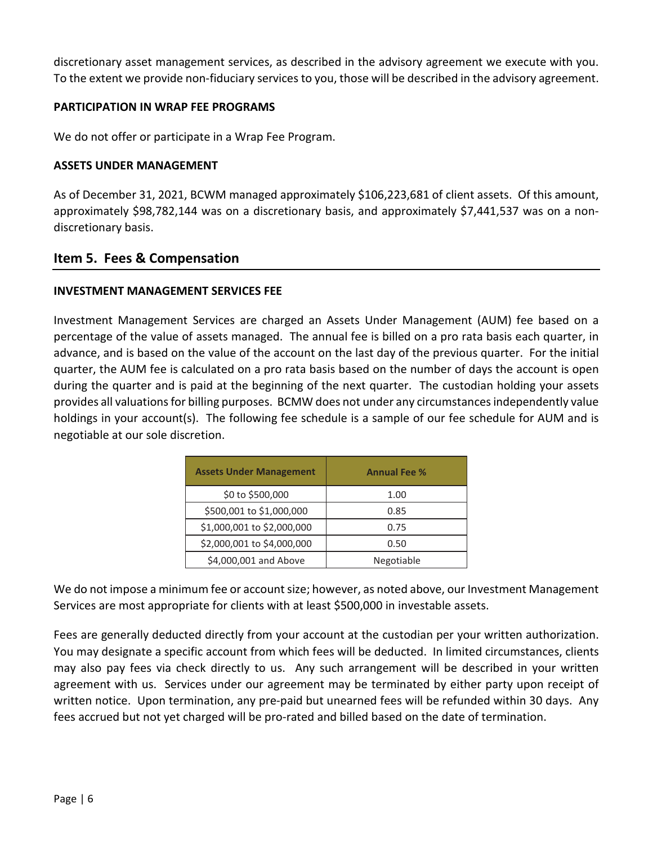discretionary asset management services, as described in the advisory agreement we execute with you. To the extent we provide non-fiduciary services to you, those will be described in the advisory agreement.

#### **PARTICIPATION IN WRAP FEE PROGRAMS**

We do not offer or participate in a Wrap Fee Program.

#### **ASSETS UNDER MANAGEMENT**

As of December 31, 2021, BCWM managed approximately \$106,223,681 of client assets. Of this amount, approximately \$98,782,144 was on a discretionary basis, and approximately \$7,441,537 was on a nondiscretionary basis.

# <span id="page-5-0"></span>**Item 5. Fees & Compensation**

#### **INVESTMENT MANAGEMENT SERVICES FEE**

Investment Management Services are charged an Assets Under Management (AUM) fee based on a percentage of the value of assets managed. The annual fee is billed on a pro rata basis each quarter, in advance, and is based on the value of the account on the last day of the previous quarter. For the initial quarter, the AUM fee is calculated on a pro rata basis based on the number of days the account is open during the quarter and is paid at the beginning of the next quarter. The custodian holding your assets provides all valuations for billing purposes. BCMW does not under any circumstances independently value holdings in your account(s). The following fee schedule is a sample of our fee schedule for AUM and is negotiable at our sole discretion.

| <b>Assets Under Management</b> | <b>Annual Fee %</b> |
|--------------------------------|---------------------|
| \$0 to \$500,000               | 1.00                |
| \$500,001 to \$1,000,000       | 0.85                |
| \$1,000,001 to \$2,000,000     | 0.75                |
| \$2,000,001 to \$4,000,000     | 0.50                |
| \$4,000,001 and Above          | Negotiable          |

We do not impose a minimum fee or account size; however, as noted above, our Investment Management Services are most appropriate for clients with at least \$500,000 in investable assets.

Fees are generally deducted directly from your account at the custodian per your written authorization. You may designate a specific account from which fees will be deducted. In limited circumstances, clients may also pay fees via check directly to us. Any such arrangement will be described in your written agreement with us. Services under our agreement may be terminated by either party upon receipt of written notice. Upon termination, any pre-paid but unearned fees will be refunded within 30 days. Any fees accrued but not yet charged will be pro-rated and billed based on the date of termination.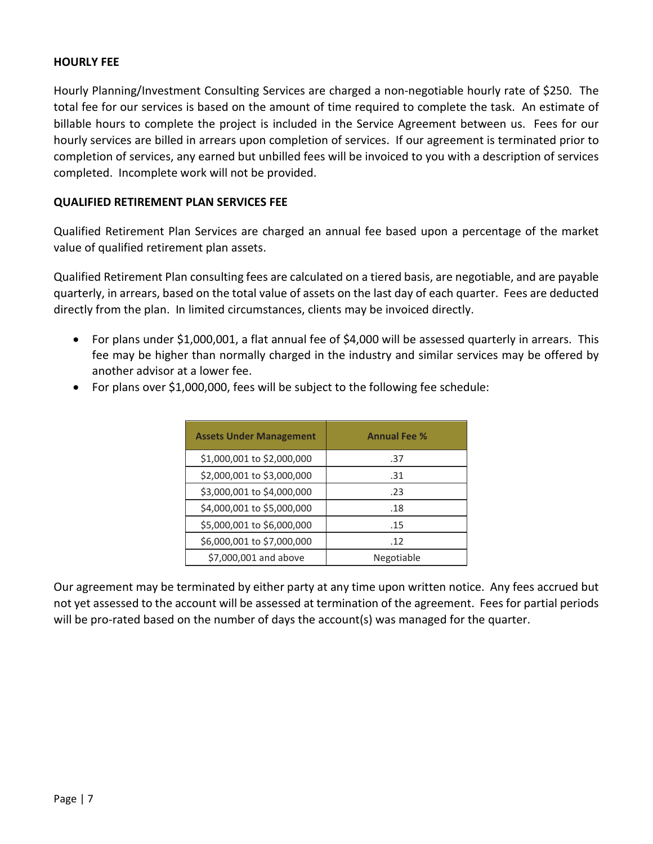#### **HOURLY FEE**

Hourly Planning/Investment Consulting Services are charged a non-negotiable hourly rate of \$250. The total fee for our services is based on the amount of time required to complete the task. An estimate of billable hours to complete the project is included in the Service Agreement between us. Fees for our hourly services are billed in arrears upon completion of services. If our agreement is terminated prior to completion of services, any earned but unbilled fees will be invoiced to you with a description of services completed. Incomplete work will not be provided.

#### **QUALIFIED RETIREMENT PLAN SERVICES FEE**

Qualified Retirement Plan Services are charged an annual fee based upon a percentage of the market value of qualified retirement plan assets.

Qualified Retirement Plan consulting fees are calculated on a tiered basis, are negotiable, and are payable quarterly, in arrears, based on the total value of assets on the last day of each quarter. Fees are deducted directly from the plan. In limited circumstances, clients may be invoiced directly.

• For plans under \$1,000,001, a flat annual fee of \$4,000 will be assessed quarterly in arrears. This fee may be higher than normally charged in the industry and similar services may be offered by another advisor at a lower fee.

| <b>Assets Under Management</b> | <b>Annual Fee %</b> |
|--------------------------------|---------------------|
| \$1,000,001 to \$2,000,000     | .37                 |
| \$2,000,001 to \$3,000,000     | .31                 |
| \$3,000,001 to \$4,000,000     | .23                 |
| \$4,000,001 to \$5,000,000     | .18                 |
| \$5,000,001 to \$6,000,000     | .15                 |
| \$6,000,001 to \$7,000,000     | .12                 |
| \$7,000,001 and above          | Negotiable          |

• For plans over \$1,000,000, fees will be subject to the following fee schedule:

Our agreement may be terminated by either party at any time upon written notice. Any fees accrued but not yet assessed to the account will be assessed at termination of the agreement. Fees for partial periods will be pro-rated based on the number of days the account(s) was managed for the quarter.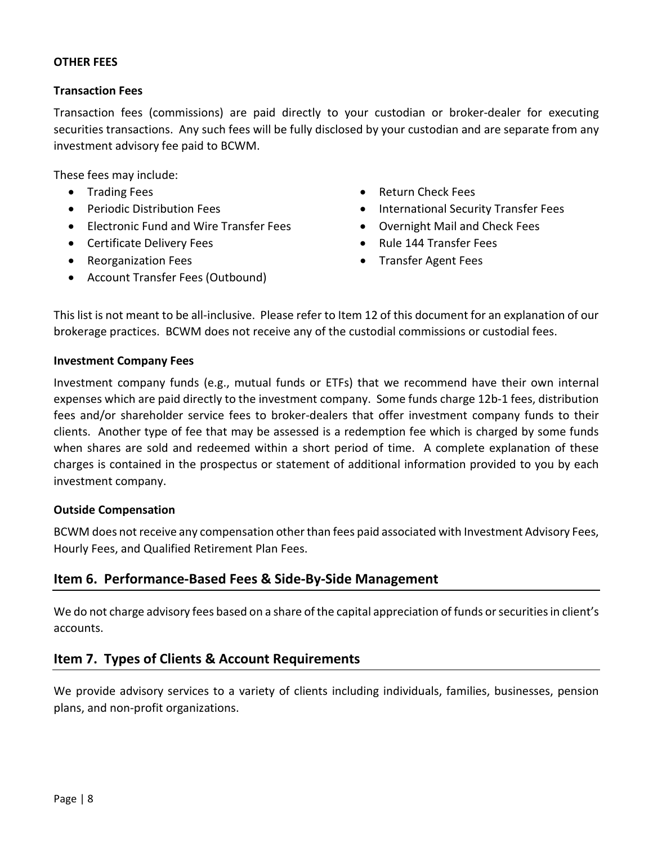#### **OTHER FEES**

#### **Transaction Fees**

Transaction fees (commissions) are paid directly to your custodian or broker-dealer for executing securities transactions. Any such fees will be fully disclosed by your custodian and are separate from any investment advisory fee paid to BCWM.

These fees may include:

- Trading Fees
- Periodic Distribution Fees
- Electronic Fund and Wire Transfer Fees
- Certificate Delivery Fees
- Reorganization Fees
- Account Transfer Fees (Outbound)
- Return Check Fees
- International Security Transfer Fees
- Overnight Mail and Check Fees
- Rule 144 Transfer Fees
- Transfer Agent Fees

This list is not meant to be all-inclusive. Please refer to Item 12 of this document for an explanation of our brokerage practices. BCWM does not receive any of the custodial commissions or custodial fees.

#### **Investment Company Fees**

Investment company funds (e.g., mutual funds or ETFs) that we recommend have their own internal expenses which are paid directly to the investment company. Some funds charge 12b-1 fees, distribution fees and/or shareholder service fees to broker-dealers that offer investment company funds to their clients. Another type of fee that may be assessed is a redemption fee which is charged by some funds when shares are sold and redeemed within a short period of time. A complete explanation of these charges is contained in the prospectus or statement of additional information provided to you by each investment company.

#### **Outside Compensation**

BCWM does not receive any compensation other than fees paid associated with Investment Advisory Fees, Hourly Fees, and Qualified Retirement Plan Fees.

# <span id="page-7-0"></span>**Item 6. Performance-Based Fees & Side-By-Side Management**

We do not charge advisory fees based on a share of the capital appreciation of funds or securities in client's accounts.

# <span id="page-7-1"></span>**Item 7. Types of Clients & Account Requirements**

We provide advisory services to a variety of clients including individuals, families, businesses, pension plans, and non-profit organizations.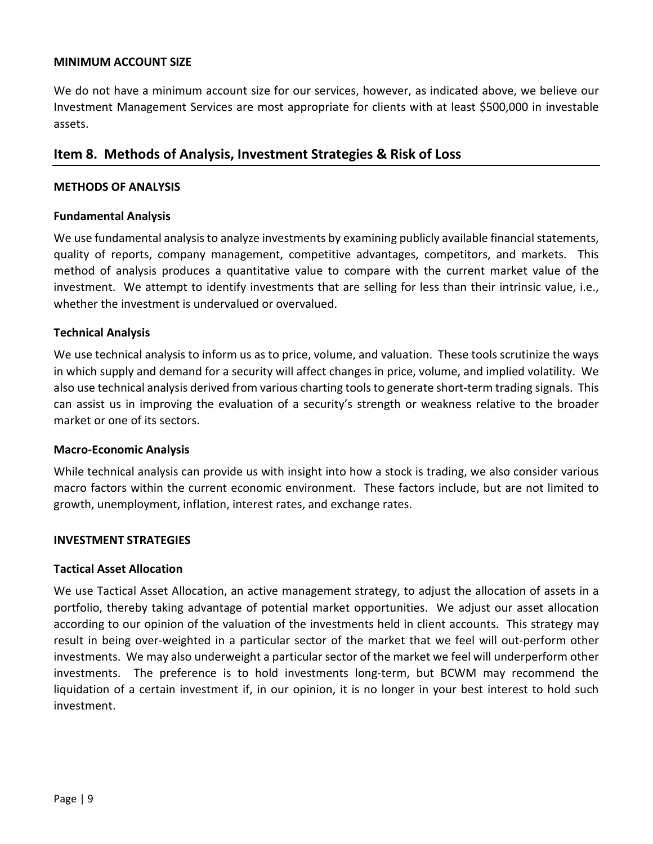#### **MINIMUM ACCOUNT SIZE**

We do not have a minimum account size for our services, however, as indicated above, we believe our Investment Management Services are most appropriate for clients with at least \$500,000 in investable assets.

### <span id="page-8-0"></span>**Item 8. Methods of Analysis, Investment Strategies & Risk of Loss**

#### **METHODS OF ANALYSIS**

#### **Fundamental Analysis**

We use fundamental analysis to analyze investments by examining publicly available financial statements, quality of reports, company management, competitive advantages, competitors, and markets. This method of analysis produces a quantitative value to compare with the current market value of the investment. We attempt to identify investments that are selling for less than their intrinsic value, i.e., whether the investment is undervalued or overvalued.

#### **Technical Analysis**

We use technical analysis to inform us as to price, volume, and valuation. These tools scrutinize the ways in which supply and demand for a security will affect changes in price, volume, and implied volatility. We also use technical analysis derived from various charting tools to generate short-term trading signals. This can assist us in improving the evaluation of a security's strength or weakness relative to the broader market or one of its sectors.

#### **Macro-Economic Analysis**

While technical analysis can provide us with insight into how a stock is trading, we also consider various macro factors within the current economic environment. These factors include, but are not limited to growth, unemployment, inflation, interest rates, and exchange rates.

#### **INVESTMENT STRATEGIES**

#### **Tactical Asset Allocation**

We use Tactical Asset Allocation, an active management strategy, to adjust the allocation of assets in a portfolio, thereby taking advantage of potential market opportunities. We adjust our asset allocation according to our opinion of the valuation of the investments held in client accounts. This strategy may result in being over-weighted in a particular sector of the market that we feel will out-perform other investments. We may also underweight a particular sector of the market we feel will underperform other investments. The preference is to hold investments long-term, but BCWM may recommend the liquidation of a certain investment if, in our opinion, it is no longer in your best interest to hold such investment.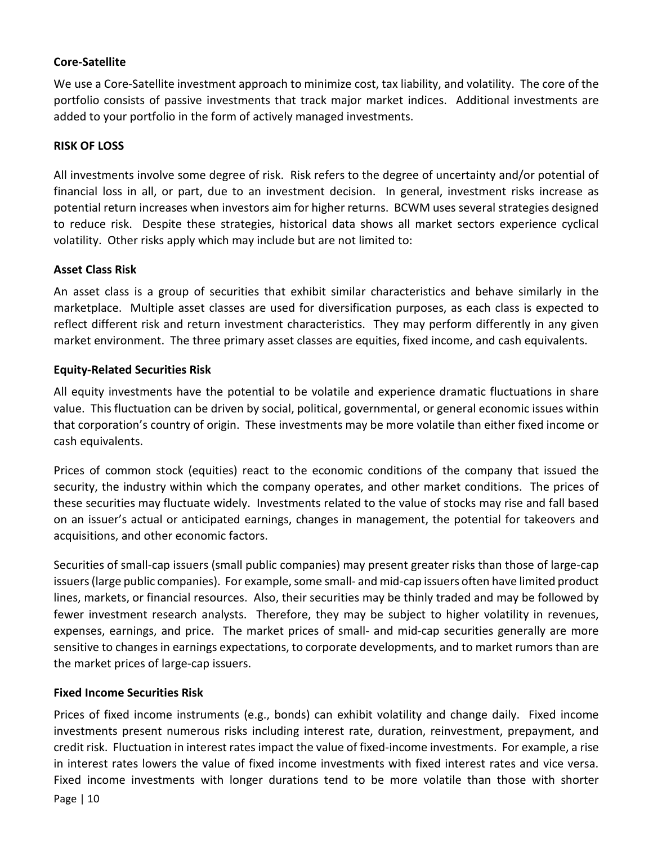#### **Core-Satellite**

We use a Core-Satellite investment approach to minimize cost, tax liability, and volatility. The core of the portfolio consists of passive investments that track major market indices. Additional investments are added to your portfolio in the form of actively managed investments.

#### **RISK OF LOSS**

All investments involve some degree of risk. Risk refers to the degree of uncertainty and/or potential of financial loss in all, or part, due to an investment decision. In general, investment risks increase as potential return increases when investors aim for higher returns. BCWM uses several strategies designed to reduce risk. Despite these strategies, historical data shows all market sectors experience cyclical volatility. Other risks apply which may include but are not limited to:

#### **Asset Class Risk**

An asset class is a group of securities that exhibit similar characteristics and behave similarly in the marketplace. Multiple asset classes are used for diversification purposes, as each class is expected to reflect different risk and return investment characteristics. They may perform differently in any given market environment. The three primary asset classes are equities, fixed income, and cash equivalents.

#### **Equity-Related Securities Risk**

All equity investments have the potential to be volatile and experience dramatic fluctuations in share value. This fluctuation can be driven by social, political, governmental, or general economic issues within that corporation's country of origin. These investments may be more volatile than either fixed income or cash equivalents.

Prices of common stock (equities) react to the economic conditions of the company that issued the security, the industry within which the company operates, and other market conditions. The prices of these securities may fluctuate widely. Investments related to the value of stocks may rise and fall based on an issuer's actual or anticipated earnings, changes in management, the potential for takeovers and acquisitions, and other economic factors.

Securities of small-cap issuers (small public companies) may present greater risks than those of large-cap issuers (large public companies). For example, some small- and mid-cap issuers often have limited product lines, markets, or financial resources. Also, their securities may be thinly traded and may be followed by fewer investment research analysts. Therefore, they may be subject to higher volatility in revenues, expenses, earnings, and price. The market prices of small- and mid-cap securities generally are more sensitive to changes in earnings expectations, to corporate developments, and to market rumors than are the market prices of large-cap issuers.

#### **Fixed Income Securities Risk**

Page | 10 Prices of fixed income instruments (e.g., bonds) can exhibit volatility and change daily. Fixed income investments present numerous risks including interest rate, duration, reinvestment, prepayment, and credit risk. Fluctuation in interest rates impact the value of fixed-income investments. For example, a rise in interest rates lowers the value of fixed income investments with fixed interest rates and vice versa. Fixed income investments with longer durations tend to be more volatile than those with shorter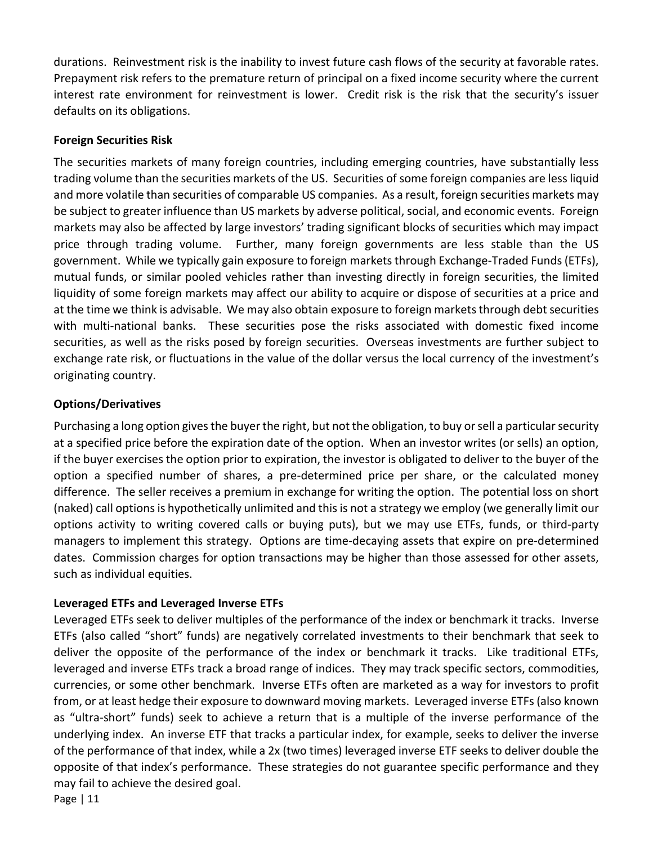durations. Reinvestment risk is the inability to invest future cash flows of the security at favorable rates. Prepayment risk refers to the premature return of principal on a fixed income security where the current interest rate environment for reinvestment is lower. Credit risk is the risk that the security's issuer defaults on its obligations.

#### **Foreign Securities Risk**

The securities markets of many foreign countries, including emerging countries, have substantially less trading volume than the securities markets of the US. Securities of some foreign companies are less liquid and more volatile than securities of comparable US companies. As a result, foreign securities markets may be subject to greater influence than US markets by adverse political, social, and economic events. Foreign markets may also be affected by large investors' trading significant blocks of securities which may impact price through trading volume. Further, many foreign governments are less stable than the US government. While we typically gain exposure to foreign markets through Exchange-Traded Funds (ETFs), mutual funds, or similar pooled vehicles rather than investing directly in foreign securities, the limited liquidity of some foreign markets may affect our ability to acquire or dispose of securities at a price and at the time we think is advisable. We may also obtain exposure to foreign markets through debt securities with multi-national banks. These securities pose the risks associated with domestic fixed income securities, as well as the risks posed by foreign securities. Overseas investments are further subject to exchange rate risk, or fluctuations in the value of the dollar versus the local currency of the investment's originating country.

### **Options/Derivatives**

Purchasing a long option gives the buyer the right, but not the obligation, to buy or sell a particular security at a specified price before the expiration date of the option. When an investor writes (or sells) an option, if the buyer exercises the option prior to expiration, the investor is obligated to deliver to the buyer of the option a specified number of shares, a pre-determined price per share, or the calculated money difference. The seller receives a premium in exchange for writing the option. The potential loss on short (naked) call options is hypothetically unlimited and this is not a strategy we employ (we generally limit our options activity to writing covered calls or buying puts), but we may use ETFs, funds, or third-party managers to implement this strategy. Options are time-decaying assets that expire on pre-determined dates. Commission charges for option transactions may be higher than those assessed for other assets, such as individual equities.

### **Leveraged ETFs and Leveraged Inverse ETFs**

Leveraged ETFs seek to deliver multiples of the performance of the index or benchmark it tracks. Inverse ETFs (also called "short" funds) are negatively correlated investments to their benchmark that seek to deliver the opposite of the performance of the index or benchmark it tracks. Like traditional ETFs, leveraged and inverse ETFs track a broad range of indices. They may track specific sectors, commodities, currencies, or some other benchmark. Inverse ETFs often are marketed as a way for investors to profit from, or at least hedge their exposure to downward moving markets. Leveraged inverse ETFs (also known as "ultra-short" funds) seek to achieve a return that is a multiple of the inverse performance of the underlying index. An inverse ETF that tracks a particular index, for example, seeks to deliver the inverse of the performance of that index, while a 2x (two times) leveraged inverse ETF seeks to deliver double the opposite of that index's performance. These strategies do not guarantee specific performance and they may fail to achieve the desired goal.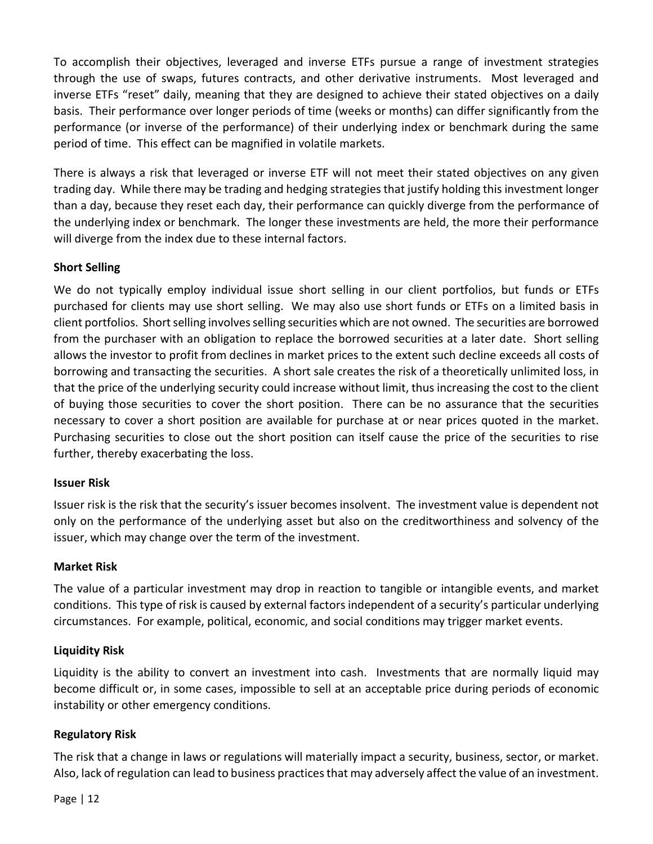To accomplish their objectives, leveraged and inverse ETFs pursue a range of investment strategies through the use of swaps, futures contracts, and other derivative instruments. Most leveraged and inverse ETFs "reset" daily, meaning that they are designed to achieve their stated objectives on a daily basis. Their performance over longer periods of time (weeks or months) can differ significantly from the performance (or inverse of the performance) of their underlying index or benchmark during the same period of time. This effect can be magnified in volatile markets.

There is always a risk that leveraged or inverse ETF will not meet their stated objectives on any given trading day. While there may be trading and hedging strategies that justify holding this investment longer than a day, because they reset each day, their performance can quickly diverge from the performance of the underlying index or benchmark. The longer these investments are held, the more their performance will diverge from the index due to these internal factors.

### **Short Selling**

We do not typically employ individual issue short selling in our client portfolios, but funds or ETFs purchased for clients may use short selling. We may also use short funds or ETFs on a limited basis in client portfolios. Short selling involves selling securities which are not owned. The securities are borrowed from the purchaser with an obligation to replace the borrowed securities at a later date. Short selling allows the investor to profit from declines in market prices to the extent such decline exceeds all costs of borrowing and transacting the securities. A short sale creates the risk of a theoretically unlimited loss, in that the price of the underlying security could increase without limit, thus increasing the cost to the client of buying those securities to cover the short position. There can be no assurance that the securities necessary to cover a short position are available for purchase at or near prices quoted in the market. Purchasing securities to close out the short position can itself cause the price of the securities to rise further, thereby exacerbating the loss.

#### **Issuer Risk**

Issuer risk is the risk that the security's issuer becomes insolvent. The investment value is dependent not only on the performance of the underlying asset but also on the creditworthiness and solvency of the issuer, which may change over the term of the investment.

#### **Market Risk**

The value of a particular investment may drop in reaction to tangible or intangible events, and market conditions. This type of risk is caused by external factors independent of a security's particular underlying circumstances. For example, political, economic, and social conditions may trigger market events.

### **Liquidity Risk**

Liquidity is the ability to convert an investment into cash. Investments that are normally liquid may become difficult or, in some cases, impossible to sell at an acceptable price during periods of economic instability or other emergency conditions.

#### **Regulatory Risk**

The risk that a change in laws or regulations will materially impact a security, business, sector, or market. Also, lack of regulation can lead to business practices that may adversely affect the value of an investment.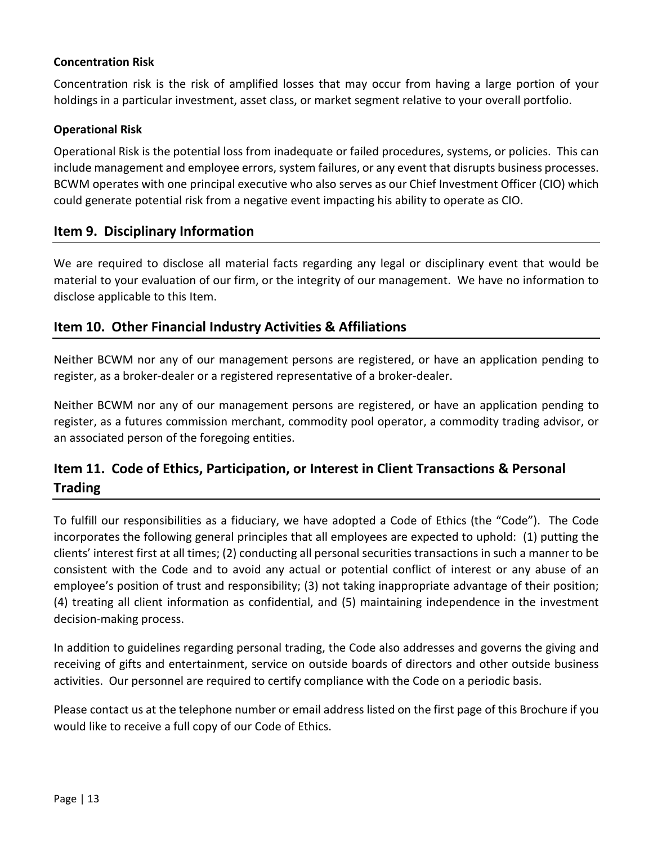#### **Concentration Risk**

Concentration risk is the risk of amplified losses that may occur from having a large portion of your holdings in a particular investment, asset class, or market segment relative to your overall portfolio.

#### **Operational Risk**

Operational Risk is the potential loss from inadequate or failed procedures, systems, or policies. This can include management and employee errors, system failures, or any event that disrupts business processes. BCWM operates with one principal executive who also serves as our Chief Investment Officer (CIO) which could generate potential risk from a negative event impacting his ability to operate as CIO.

### <span id="page-12-0"></span>**Item 9. Disciplinary Information**

We are required to disclose all material facts regarding any legal or disciplinary event that would be material to your evaluation of our firm, or the integrity of our management. We have no information to disclose applicable to this Item.

### <span id="page-12-1"></span>**Item 10. Other Financial Industry Activities & Affiliations**

Neither BCWM nor any of our management persons are registered, or have an application pending to register, as a broker-dealer or a registered representative of a broker-dealer.

Neither BCWM nor any of our management persons are registered, or have an application pending to register, as a futures commission merchant, commodity pool operator, a commodity trading advisor, or an associated person of the foregoing entities.

# <span id="page-12-2"></span>**Item 11. Code of Ethics, Participation, or Interest in Client Transactions & Personal Trading**

To fulfill our responsibilities as a fiduciary, we have adopted a Code of Ethics (the "Code"). The Code incorporates the following general principles that all employees are expected to uphold: (1) putting the clients' interest first at all times; (2) conducting all personal securities transactions in such a manner to be consistent with the Code and to avoid any actual or potential conflict of interest or any abuse of an employee's position of trust and responsibility; (3) not taking inappropriate advantage of their position; (4) treating all client information as confidential, and (5) maintaining independence in the investment decision-making process.

In addition to guidelines regarding personal trading, the Code also addresses and governs the giving and receiving of gifts and entertainment, service on outside boards of directors and other outside business activities. Our personnel are required to certify compliance with the Code on a periodic basis.

Please contact us at the telephone number or email address listed on the first page of this Brochure if you would like to receive a full copy of our Code of Ethics.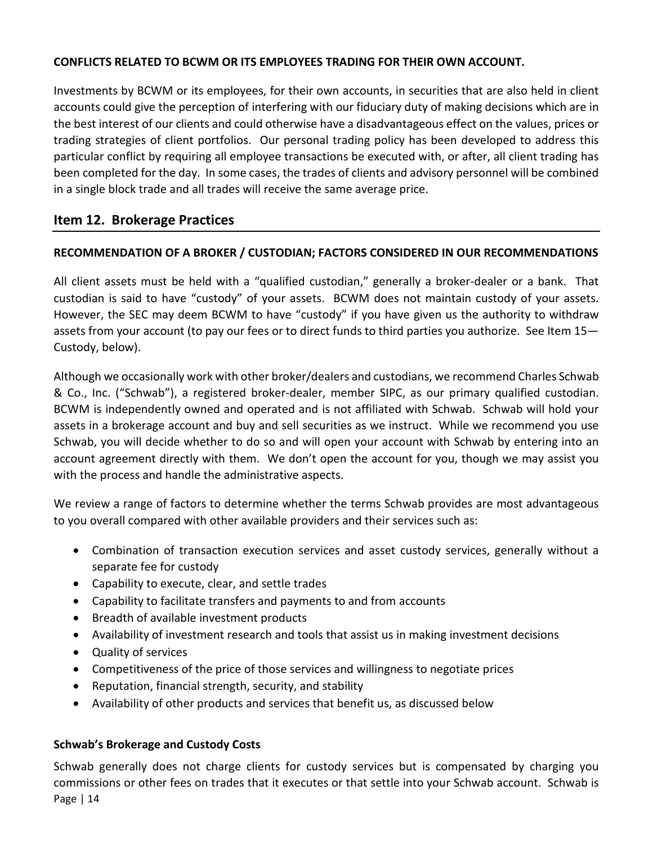### **CONFLICTS RELATED TO BCWM OR ITS EMPLOYEES TRADING FOR THEIR OWN ACCOUNT.**

Investments by BCWM or its employees, for their own accounts, in securities that are also held in client accounts could give the perception of interfering with our fiduciary duty of making decisions which are in the best interest of our clients and could otherwise have a disadvantageous effect on the values, prices or trading strategies of client portfolios. Our personal trading policy has been developed to address this particular conflict by requiring all employee transactions be executed with, or after, all client trading has been completed for the day. In some cases, the trades of clients and advisory personnel will be combined in a single block trade and all trades will receive the same average price.

# <span id="page-13-0"></span>**Item 12. Brokerage Practices**

### **RECOMMENDATION OF A BROKER / CUSTODIAN; FACTORS CONSIDERED IN OUR RECOMMENDATIONS**

All client assets must be held with a "qualified custodian," generally a broker-dealer or a bank. That custodian is said to have "custody" of your assets. BCWM does not maintain custody of your assets. However, the SEC may deem BCWM to have "custody" if you have given us the authority to withdraw assets from your account (to pay our fees or to direct funds to third parties you authorize. See Item 15— Custody, below).

Although we occasionally work with other broker/dealers and custodians, we recommend Charles Schwab & Co., Inc. ("Schwab"), a registered broker-dealer, member SIPC, as our primary qualified custodian. BCWM is independently owned and operated and is not affiliated with Schwab. Schwab will hold your assets in a brokerage account and buy and sell securities as we instruct. While we recommend you use Schwab, you will decide whether to do so and will open your account with Schwab by entering into an account agreement directly with them. We don't open the account for you, though we may assist you with the process and handle the administrative aspects.

We review a range of factors to determine whether the terms Schwab provides are most advantageous to you overall compared with other available providers and their services such as:

- Combination of transaction execution services and asset custody services, generally without a separate fee for custody
- Capability to execute, clear, and settle trades
- Capability to facilitate transfers and payments to and from accounts
- Breadth of available investment products
- Availability of investment research and tools that assist us in making investment decisions
- Quality of services
- Competitiveness of the price of those services and willingness to negotiate prices
- Reputation, financial strength, security, and stability
- Availability of other products and services that benefit us, as discussed below

### **Schwab's Brokerage and Custody Costs**

Page | 14 Schwab generally does not charge clients for custody services but is compensated by charging you commissions or other fees on trades that it executes or that settle into your Schwab account. Schwab is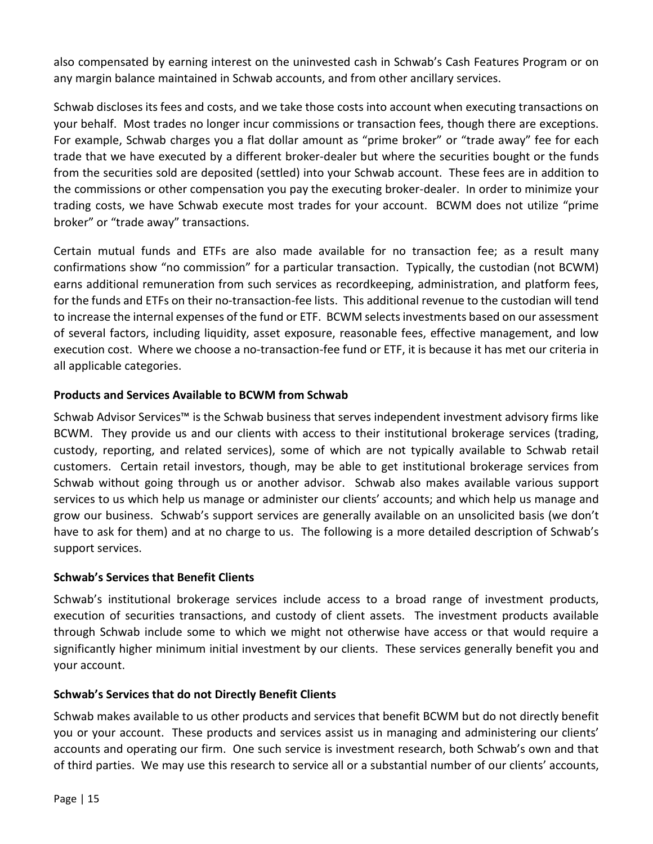also compensated by earning interest on the uninvested cash in Schwab's Cash Features Program or on any margin balance maintained in Schwab accounts, and from other ancillary services.

Schwab discloses its fees and costs, and we take those costs into account when executing transactions on your behalf. Most trades no longer incur commissions or transaction fees, though there are exceptions. For example, Schwab charges you a flat dollar amount as "prime broker" or "trade away" fee for each trade that we have executed by a different broker-dealer but where the securities bought or the funds from the securities sold are deposited (settled) into your Schwab account. These fees are in addition to the commissions or other compensation you pay the executing broker-dealer. In order to minimize your trading costs, we have Schwab execute most trades for your account. BCWM does not utilize "prime broker" or "trade away" transactions.

Certain mutual funds and ETFs are also made available for no transaction fee; as a result many confirmations show "no commission" for a particular transaction. Typically, the custodian (not BCWM) earns additional remuneration from such services as recordkeeping, administration, and platform fees, for the funds and ETFs on their no-transaction-fee lists. This additional revenue to the custodian will tend to increase the internal expenses of the fund or ETF. BCWM selects investments based on our assessment of several factors, including liquidity, asset exposure, reasonable fees, effective management, and low execution cost. Where we choose a no-transaction-fee fund or ETF, it is because it has met our criteria in all applicable categories.

### **Products and Services Available to BCWM from Schwab**

Schwab Advisor Services™ is the Schwab business that serves independent investment advisory firms like BCWM. They provide us and our clients with access to their institutional brokerage services (trading, custody, reporting, and related services), some of which are not typically available to Schwab retail customers. Certain retail investors, though, may be able to get institutional brokerage services from Schwab without going through us or another advisor. Schwab also makes available various support services to us which help us manage or administer our clients' accounts; and which help us manage and grow our business. Schwab's support services are generally available on an unsolicited basis (we don't have to ask for them) and at no charge to us. The following is a more detailed description of Schwab's support services.

### **Schwab's Services that Benefit Clients**

Schwab's institutional brokerage services include access to a broad range of investment products, execution of securities transactions, and custody of client assets. The investment products available through Schwab include some to which we might not otherwise have access or that would require a significantly higher minimum initial investment by our clients. These services generally benefit you and your account.

### **Schwab's Services that do not Directly Benefit Clients**

Schwab makes available to us other products and services that benefit BCWM but do not directly benefit you or your account. These products and services assist us in managing and administering our clients' accounts and operating our firm. One such service is investment research, both Schwab's own and that of third parties. We may use this research to service all or a substantial number of our clients' accounts,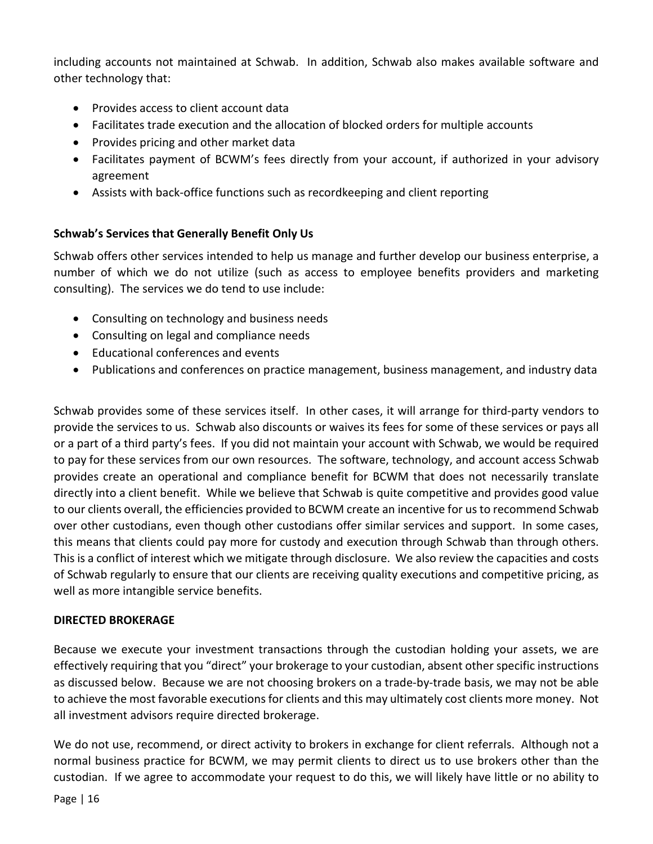including accounts not maintained at Schwab. In addition, Schwab also makes available software and other technology that:

- Provides access to client account data
- Facilitates trade execution and the allocation of blocked orders for multiple accounts
- Provides pricing and other market data
- Facilitates payment of BCWM's fees directly from your account, if authorized in your advisory agreement
- Assists with back-office functions such as recordkeeping and client reporting

### **Schwab's Services that Generally Benefit Only Us**

Schwab offers other services intended to help us manage and further develop our business enterprise, a number of which we do not utilize (such as access to employee benefits providers and marketing consulting). The services we do tend to use include:

- Consulting on technology and business needs
- Consulting on legal and compliance needs
- Educational conferences and events
- Publications and conferences on practice management, business management, and industry data

Schwab provides some of these services itself. In other cases, it will arrange for third-party vendors to provide the services to us. Schwab also discounts or waives its fees for some of these services or pays all or a part of a third party's fees. If you did not maintain your account with Schwab, we would be required to pay for these services from our own resources. The software, technology, and account access Schwab provides create an operational and compliance benefit for BCWM that does not necessarily translate directly into a client benefit. While we believe that Schwab is quite competitive and provides good value to our clients overall, the efficiencies provided to BCWM create an incentive for us to recommend Schwab over other custodians, even though other custodians offer similar services and support. In some cases, this means that clients could pay more for custody and execution through Schwab than through others. This is a conflict of interest which we mitigate through disclosure. We also review the capacities and costs of Schwab regularly to ensure that our clients are receiving quality executions and competitive pricing, as well as more intangible service benefits.

#### **DIRECTED BROKERAGE**

Because we execute your investment transactions through the custodian holding your assets, we are effectively requiring that you "direct" your brokerage to your custodian, absent other specific instructions as discussed below. Because we are not choosing brokers on a trade-by-trade basis, we may not be able to achieve the most favorable executions for clients and this may ultimately cost clients more money. Not all investment advisors require directed brokerage.

We do not use, recommend, or direct activity to brokers in exchange for client referrals. Although not a normal business practice for BCWM, we may permit clients to direct us to use brokers other than the custodian. If we agree to accommodate your request to do this, we will likely have little or no ability to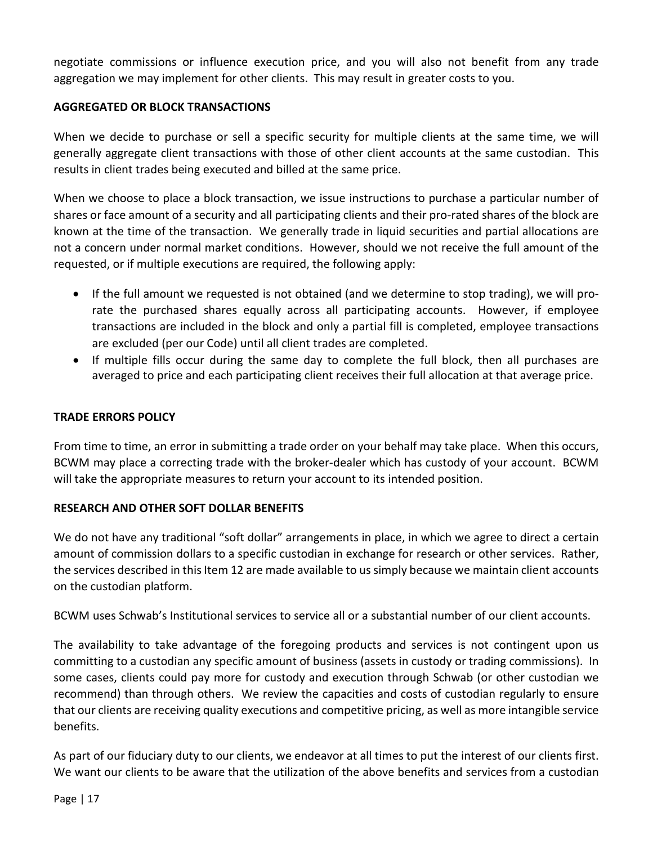negotiate commissions or influence execution price, and you will also not benefit from any trade aggregation we may implement for other clients. This may result in greater costs to you.

### **AGGREGATED OR BLOCK TRANSACTIONS**

When we decide to purchase or sell a specific security for multiple clients at the same time, we will generally aggregate client transactions with those of other client accounts at the same custodian. This results in client trades being executed and billed at the same price.

When we choose to place a block transaction, we issue instructions to purchase a particular number of shares or face amount of a security and all participating clients and their pro-rated shares of the block are known at the time of the transaction. We generally trade in liquid securities and partial allocations are not a concern under normal market conditions. However, should we not receive the full amount of the requested, or if multiple executions are required, the following apply:

- If the full amount we requested is not obtained (and we determine to stop trading), we will prorate the purchased shares equally across all participating accounts. However, if employee transactions are included in the block and only a partial fill is completed, employee transactions are excluded (per our Code) until all client trades are completed.
- If multiple fills occur during the same day to complete the full block, then all purchases are averaged to price and each participating client receives their full allocation at that average price.

#### **TRADE ERRORS POLICY**

From time to time, an error in submitting a trade order on your behalf may take place. When this occurs, BCWM may place a correcting trade with the broker-dealer which has custody of your account. BCWM will take the appropriate measures to return your account to its intended position.

### **RESEARCH AND OTHER SOFT DOLLAR BENEFITS**

We do not have any traditional "soft dollar" arrangements in place, in which we agree to direct a certain amount of commission dollars to a specific custodian in exchange for research or other services. Rather, the services described in this Item 12 are made available to us simply because we maintain client accounts on the custodian platform.

BCWM uses Schwab's Institutional services to service all or a substantial number of our client accounts.

The availability to take advantage of the foregoing products and services is not contingent upon us committing to a custodian any specific amount of business (assets in custody or trading commissions). In some cases, clients could pay more for custody and execution through Schwab (or other custodian we recommend) than through others. We review the capacities and costs of custodian regularly to ensure that our clients are receiving quality executions and competitive pricing, as well as more intangible service benefits.

As part of our fiduciary duty to our clients, we endeavor at all times to put the interest of our clients first. We want our clients to be aware that the utilization of the above benefits and services from a custodian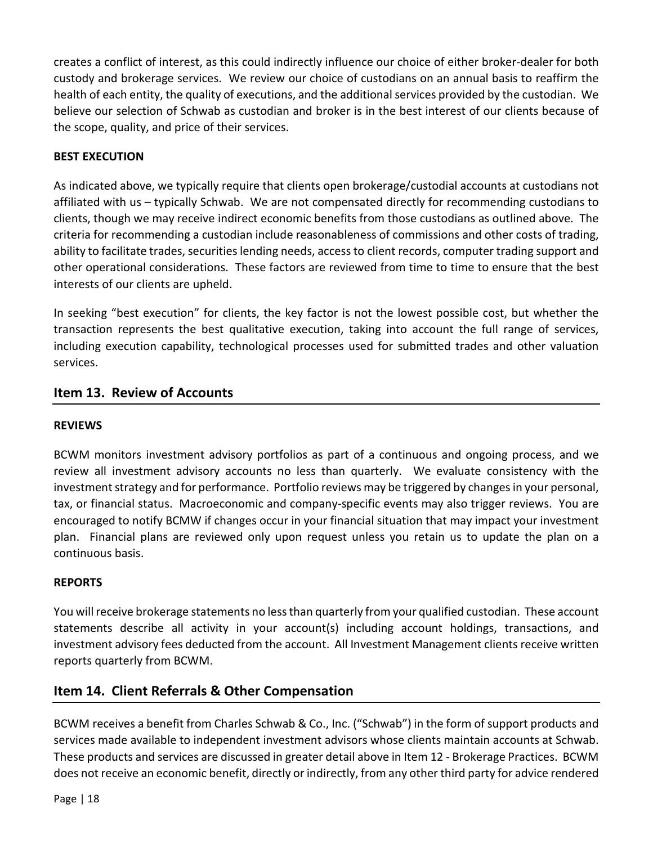creates a conflict of interest, as this could indirectly influence our choice of either broker-dealer for both custody and brokerage services. We review our choice of custodians on an annual basis to reaffirm the health of each entity, the quality of executions, and the additional services provided by the custodian. We believe our selection of Schwab as custodian and broker is in the best interest of our clients because of the scope, quality, and price of their services.

### **BEST EXECUTION**

As indicated above, we typically require that clients open brokerage/custodial accounts at custodians not affiliated with us – typically Schwab. We are not compensated directly for recommending custodians to clients, though we may receive indirect economic benefits from those custodians as outlined above. The criteria for recommending a custodian include reasonableness of commissions and other costs of trading, ability to facilitate trades, securities lending needs, access to client records, computer trading support and other operational considerations. These factors are reviewed from time to time to ensure that the best interests of our clients are upheld.

In seeking "best execution" for clients, the key factor is not the lowest possible cost, but whether the transaction represents the best qualitative execution, taking into account the full range of services, including execution capability, technological processes used for submitted trades and other valuation services.

# <span id="page-17-0"></span>**Item 13. Review of Accounts**

### **REVIEWS**

BCWM monitors investment advisory portfolios as part of a continuous and ongoing process, and we review all investment advisory accounts no less than quarterly. We evaluate consistency with the investment strategy and for performance. Portfolio reviews may be triggered by changes in your personal, tax, or financial status. Macroeconomic and company-specific events may also trigger reviews. You are encouraged to notify BCMW if changes occur in your financial situation that may impact your investment plan. Financial plans are reviewed only upon request unless you retain us to update the plan on a continuous basis.

### **REPORTS**

You will receive brokerage statements no less than quarterly from your qualified custodian. These account statements describe all activity in your account(s) including account holdings, transactions, and investment advisory fees deducted from the account. All Investment Management clients receive written reports quarterly from BCWM.

# <span id="page-17-1"></span>**Item 14. Client Referrals & Other Compensation**

BCWM receives a benefit from Charles Schwab & Co., Inc. ("Schwab") in the form of support products and services made available to independent investment advisors whose clients maintain accounts at Schwab. These products and services are discussed in greater detail above in Item 12 - Brokerage Practices. BCWM does not receive an economic benefit, directly or indirectly, from any other third party for advice rendered